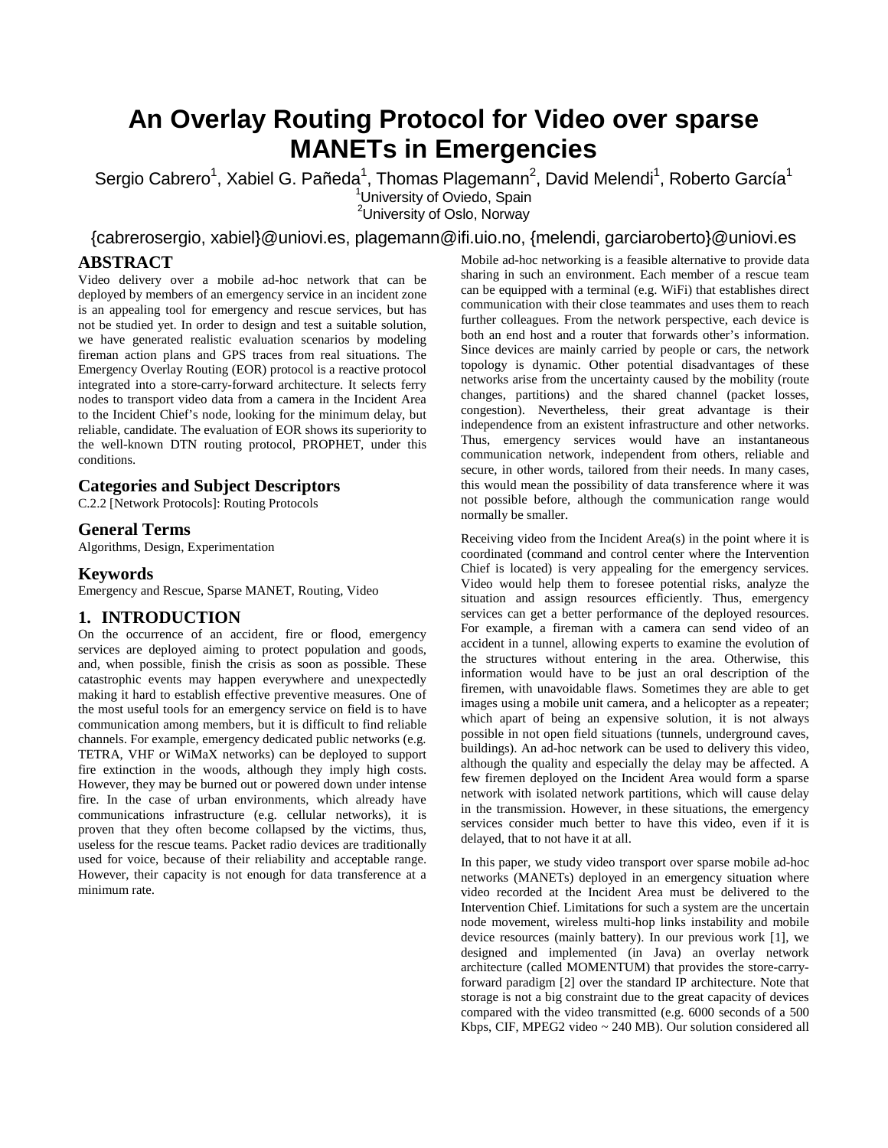# **An Overlay Routing Protocol for Video over sparse MANETs in Emergencies**

Sergio Cabrero<sup>1</sup>, Xabiel G. Pañeda<sup>1</sup>, Thomas Plagemann<sup>2</sup>, David Melendi<sup>1</sup>, Roberto García<sup>1</sup> <sup>1</sup>University of Oviedo, Spain <sup>2</sup>University of Oslo, Norway

{cabrerosergio, xabiel}@uniovi.es, plagemann@ifi.uio.no, {melendi, garciaroberto}@uniovi.es

# **ABSTRACT**

Video delivery over a mobile ad-hoc network that can be deployed by members of an emergency service in an incident zone is an appealing tool for emergency and rescue services, but has not be studied yet. In order to design and test a suitable solution, we have generated realistic evaluation scenarios by modeling fireman action plans and GPS traces from real situations. The Emergency Overlay Routing (EOR) protocol is a reactive protocol integrated into a store-carry-forward architecture. It selects ferry nodes to transport video data from a camera in the Incident Area to the Incident Chief's node, looking for the minimum delay, but reliable, candidate. The evaluation of EOR shows its superiority to the well-known DTN routing protocol, PROPHET, under this conditions.

# **Categories and Subject Descriptors**

C.2.2 [Network Protocols]: Routing Protocols

## **General Terms**

Algorithms, Design, Experimentation

#### **Keywords**

Emergency and Rescue, Sparse MANET, Routing, Video

#### **1. INTRODUCTION**

On the occurrence of an accident, fire or flood, emergency services are deployed aiming to protect population and goods, and, when possible, finish the crisis as soon as possible. These catastrophic events may happen everywhere and unexpectedly making it hard to establish effective preventive measures. One of the most useful tools for an emergency service on field is to have communication among members, but it is difficult to find reliable channels. For example, emergency dedicated public networks (e.g. TETRA, VHF or WiMaX networks) can be deployed to support fire extinction in the woods, although they imply high costs. However, they may be burned out or powered down under intense fire. In the case of urban environments, which already have communications infrastructure (e.g. cellular networks), it is proven that they often become collapsed by the victims, thus, useless for the rescue teams. Packet radio devices are traditionally used for voice, because of their reliability and acceptable range. However, their capacity is not enough for data transference at a minimum rate.

Mobile ad-hoc networking is a feasible alternative to provide data sharing in such an environment. Each member of a rescue team can be equipped with a terminal (e.g. WiFi) that establishes direct communication with their close teammates and uses them to reach further colleagues. From the network perspective, each device is both an end host and a router that forwards other's information. Since devices are mainly carried by people or cars, the network topology is dynamic. Other potential disadvantages of these networks arise from the uncertainty caused by the mobility (route changes, partitions) and the shared channel (packet losses, congestion). Nevertheless, their great advantage is their independence from an existent infrastructure and other networks. Thus, emergency services would have an instantaneous communication network, independent from others, reliable and secure, in other words, tailored from their needs. In many cases, this would mean the possibility of data transference where it was not possible before, although the communication range would normally be smaller.

Receiving video from the Incident Area(s) in the point where it is coordinated (command and control center where the Intervention Chief is located) is very appealing for the emergency services. Video would help them to foresee potential risks, analyze the situation and assign resources efficiently. Thus, emergency services can get a better performance of the deployed resources. For example, a fireman with a camera can send video of an accident in a tunnel, allowing experts to examine the evolution of the structures without entering in the area. Otherwise, this information would have to be just an oral description of the firemen, with unavoidable flaws. Sometimes they are able to get images using a mobile unit camera, and a helicopter as a repeater; which apart of being an expensive solution, it is not always possible in not open field situations (tunnels, underground caves, buildings). An ad-hoc network can be used to delivery this video, although the quality and especially the delay may be affected. A few firemen deployed on the Incident Area would form a sparse network with isolated network partitions, which will cause delay in the transmission. However, in these situations, the emergency services consider much better to have this video, even if it is delayed, that to not have it at all.

In this paper, we study video transport over sparse mobile ad-hoc networks (MANETs) deployed in an emergency situation where video recorded at the Incident Area must be delivered to the Intervention Chief. Limitations for such a system are the uncertain node movement, wireless multi-hop links instability and mobile device resources (mainly battery). In our previous work [1], we designed and implemented (in Java) an overlay network architecture (called MOMENTUM) that provides the store-carryforward paradigm [2] over the standard IP architecture. Note that storage is not a big constraint due to the great capacity of devices compared with the video transmitted (e.g. 6000 seconds of a 500 Kbps, CIF, MPEG2 video ~ 240 MB). Our solution considered all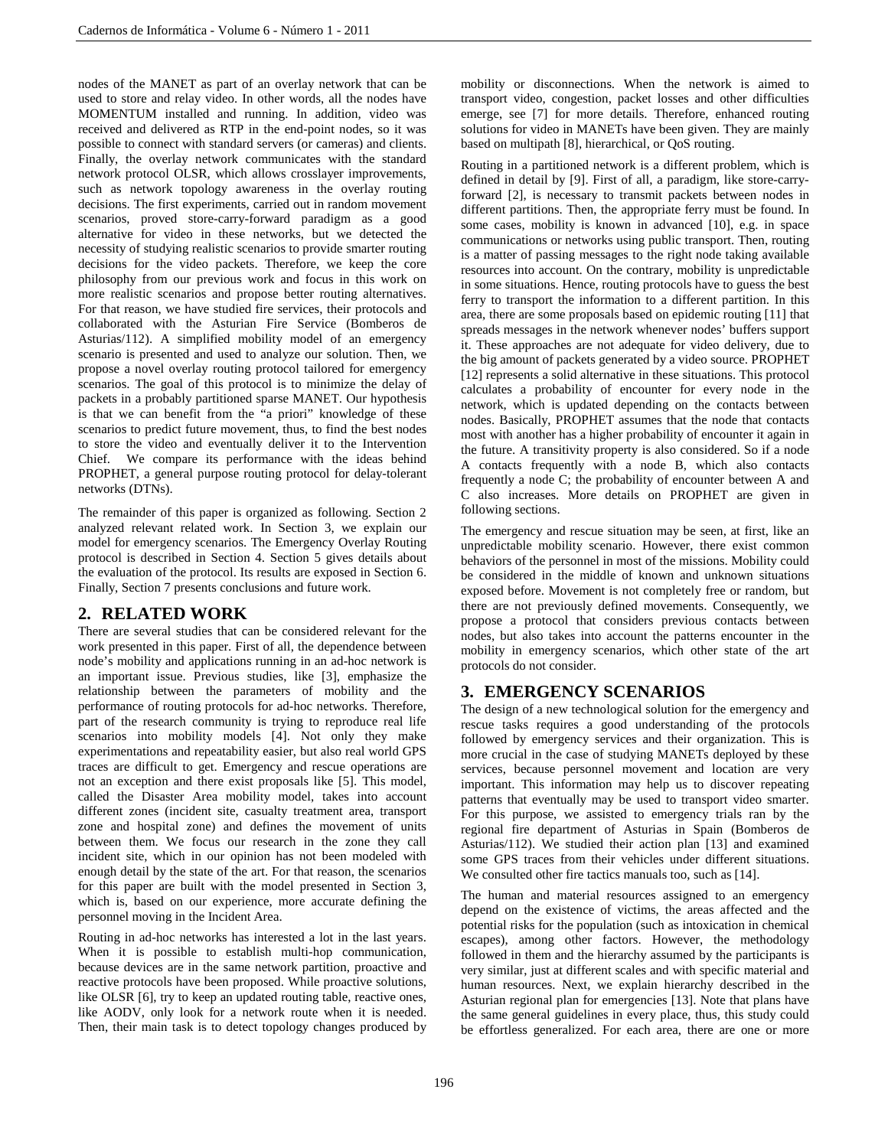nodes of the MANET as part of an overlay network that can be used to store and relay video. In other words, all the nodes have MOMENTUM installed and running. In addition, video was received and delivered as RTP in the end-point nodes, so it was possible to connect with standard servers (or cameras) and clients. Finally, the overlay network communicates with the standard network protocol OLSR, which allows crosslayer improvements, such as network topology awareness in the overlay routing decisions. The first experiments, carried out in random movement scenarios, proved store-carry-forward paradigm as a good alternative for video in these networks, but we detected the necessity of studying realistic scenarios to provide smarter routing decisions for the video packets. Therefore, we keep the core philosophy from our previous work and focus in this work on more realistic scenarios and propose better routing alternatives. For that reason, we have studied fire services, their protocols and collaborated with the Asturian Fire Service (Bomberos de Asturias/112). A simplified mobility model of an emergency scenario is presented and used to analyze our solution. Then, we propose a novel overlay routing protocol tailored for emergency scenarios. The goal of this protocol is to minimize the delay of packets in a probably partitioned sparse MANET. Our hypothesis is that we can benefit from the "a priori" knowledge of these scenarios to predict future movement, thus, to find the best nodes to store the video and eventually deliver it to the Intervention Chief. We compare its performance with the ideas behind PROPHET, a general purpose routing protocol for delay-tolerant networks (DTNs).

The remainder of this paper is organized as following. Section 2 analyzed relevant related work. In Section 3, we explain our model for emergency scenarios. The Emergency Overlay Routing protocol is described in Section 4. Section 5 gives details about the evaluation of the protocol. Its results are exposed in Section 6. Finally, Section 7 presents conclusions and future work.

# **2. RELATED WORK**

There are several studies that can be considered relevant for the work presented in this paper. First of all, the dependence between node's mobility and applications running in an ad-hoc network is an important issue. Previous studies, like [3], emphasize the relationship between the parameters of mobility and the performance of routing protocols for ad-hoc networks. Therefore, part of the research community is trying to reproduce real life scenarios into mobility models [4]. Not only they make experimentations and repeatability easier, but also real world GPS traces are difficult to get. Emergency and rescue operations are not an exception and there exist proposals like [5]. This model, called the Disaster Area mobility model, takes into account different zones (incident site, casualty treatment area, transport zone and hospital zone) and defines the movement of units between them. We focus our research in the zone they call incident site, which in our opinion has not been modeled with enough detail by the state of the art. For that reason, the scenarios for this paper are built with the model presented in Section 3, which is, based on our experience, more accurate defining the personnel moving in the Incident Area.

Routing in ad-hoc networks has interested a lot in the last years. When it is possible to establish multi-hop communication, because devices are in the same network partition, proactive and reactive protocols have been proposed. While proactive solutions, like OLSR [6], try to keep an updated routing table, reactive ones, like AODV, only look for a network route when it is needed. Then, their main task is to detect topology changes produced by mobility or disconnections. When the network is aimed to transport video, congestion, packet losses and other difficulties emerge, see [7] for more details. Therefore, enhanced routing solutions for video in MANETs have been given. They are mainly based on multipath [8], hierarchical, or QoS routing.

Routing in a partitioned network is a different problem, which is defined in detail by [9]. First of all, a paradigm, like store-carryforward [2], is necessary to transmit packets between nodes in different partitions. Then, the appropriate ferry must be found. In some cases, mobility is known in advanced [10], e.g. in space communications or networks using public transport. Then, routing is a matter of passing messages to the right node taking available resources into account. On the contrary, mobility is unpredictable in some situations. Hence, routing protocols have to guess the best ferry to transport the information to a different partition. In this area, there are some proposals based on epidemic routing [11] that spreads messages in the network whenever nodes' buffers support it. These approaches are not adequate for video delivery, due to the big amount of packets generated by a video source. PROPHET [12] represents a solid alternative in these situations. This protocol calculates a probability of encounter for every node in the network, which is updated depending on the contacts between nodes. Basically, PROPHET assumes that the node that contacts most with another has a higher probability of encounter it again in the future. A transitivity property is also considered. So if a node A contacts frequently with a node B, which also contacts frequently a node C; the probability of encounter between A and C also increases. More details on PROPHET are given in following sections.

The emergency and rescue situation may be seen, at first, like an unpredictable mobility scenario. However, there exist common behaviors of the personnel in most of the missions. Mobility could be considered in the middle of known and unknown situations exposed before. Movement is not completely free or random, but there are not previously defined movements. Consequently, we propose a protocol that considers previous contacts between nodes, but also takes into account the patterns encounter in the mobility in emergency scenarios, which other state of the art protocols do not consider.

# **3. EMERGENCY SCENARIOS**

The design of a new technological solution for the emergency and rescue tasks requires a good understanding of the protocols followed by emergency services and their organization. This is more crucial in the case of studying MANETs deployed by these services, because personnel movement and location are very important. This information may help us to discover repeating patterns that eventually may be used to transport video smarter. For this purpose, we assisted to emergency trials ran by the regional fire department of Asturias in Spain (Bomberos de Asturias/112). We studied their action plan [13] and examined some GPS traces from their vehicles under different situations. We consulted other fire tactics manuals too, such as [14].

The human and material resources assigned to an emergency depend on the existence of victims, the areas affected and the potential risks for the population (such as intoxication in chemical escapes), among other factors. However, the methodology followed in them and the hierarchy assumed by the participants is very similar, just at different scales and with specific material and human resources. Next, we explain hierarchy described in the Asturian regional plan for emergencies [13]. Note that plans have the same general guidelines in every place, thus, this study could be effortless generalized. For each area, there are one or more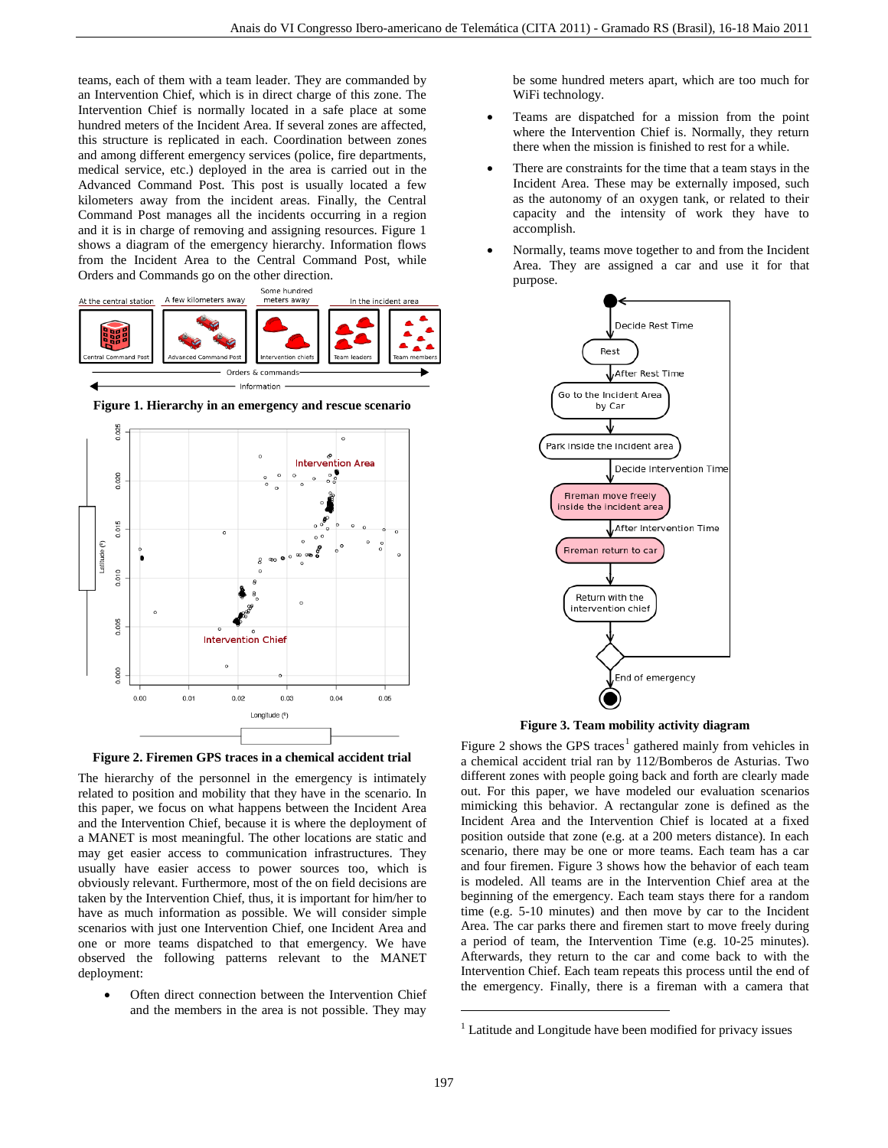teams, each of them with a team leader. They are commanded by an Intervention Chief, which is in direct charge of this zone. The Intervention Chief is normally located in a safe place at some hundred meters of the Incident Area. If several zones are affected, this structure is replicated in each. Coordination between zones and among different emergency services (police, fire departments, medical service, etc.) deployed in the area is carried out in the Advanced Command Post. This post is usually located a few kilometers away from the incident areas. Finally, the Central Command Post manages all the incidents occurring in a region and it is in charge of removing and assigning resources. Figure 1 shows a diagram of the emergency hierarchy. Information flows from the Incident Area to the Central Command Post, while Orders and Commands go on the other direction.



**Figure 1. Hierarchy in an emergency and rescue scenario**





The hierarchy of the personnel in the emergency is intimately related to position and mobility that they have in the scenario. In this paper, we focus on what happens between the Incident Area and the Intervention Chief, because it is where the deployment of a MANET is most meaningful. The other locations are static and may get easier access to communication infrastructures. They usually have easier access to power sources too, which is obviously relevant. Furthermore, most of the on field decisions are taken by the Intervention Chief, thus, it is important for him/her to have as much information as possible. We will consider simple scenarios with just one Intervention Chief, one Incident Area and one or more teams dispatched to that emergency. We have observed the following patterns relevant to the MANET deployment:

<span id="page-2-0"></span>Often direct connection between the Intervention Chief and the members in the area is not possible. They may

be some hundred meters apart, which are too much for WiFi technology.

- Teams are dispatched for a mission from the point where the Intervention Chief is. Normally, they return there when the mission is finished to rest for a while.
- There are constraints for the time that a team stays in the Incident Area. These may be externally imposed, such as the autonomy of an oxygen tank, or related to their capacity and the intensity of work they have to accomplish.
- Normally, teams move together to and from the Incident Area. They are assigned a car and use it for that purpose.



**Figure 3. Team mobility activity diagram**

Figure 2 shows the GPS traces<sup>[1](#page-2-0)</sup> gathered mainly from vehicles in a chemical accident trial ran by 112/Bomberos de Asturias. Two different zones with people going back and forth are clearly made out. For this paper, we have modeled our evaluation scenarios mimicking this behavior. A rectangular zone is defined as the Incident Area and the Intervention Chief is located at a fixed position outside that zone (e.g. at a 200 meters distance). In each scenario, there may be one or more teams. Each team has a car and four firemen. Figure 3 shows how the behavior of each team is modeled. All teams are in the Intervention Chief area at the beginning of the emergency. Each team stays there for a random time (e.g. 5-10 minutes) and then move by car to the Incident Area. The car parks there and firemen start to move freely during a period of team, the Intervention Time (e.g. 10-25 minutes). Afterwards, they return to the car and come back to with the Intervention Chief. Each team repeats this process until the end of the emergency. Finally, there is a fireman with a camera that

1

<sup>&</sup>lt;sup>1</sup> Latitude and Longitude have been modified for privacy issues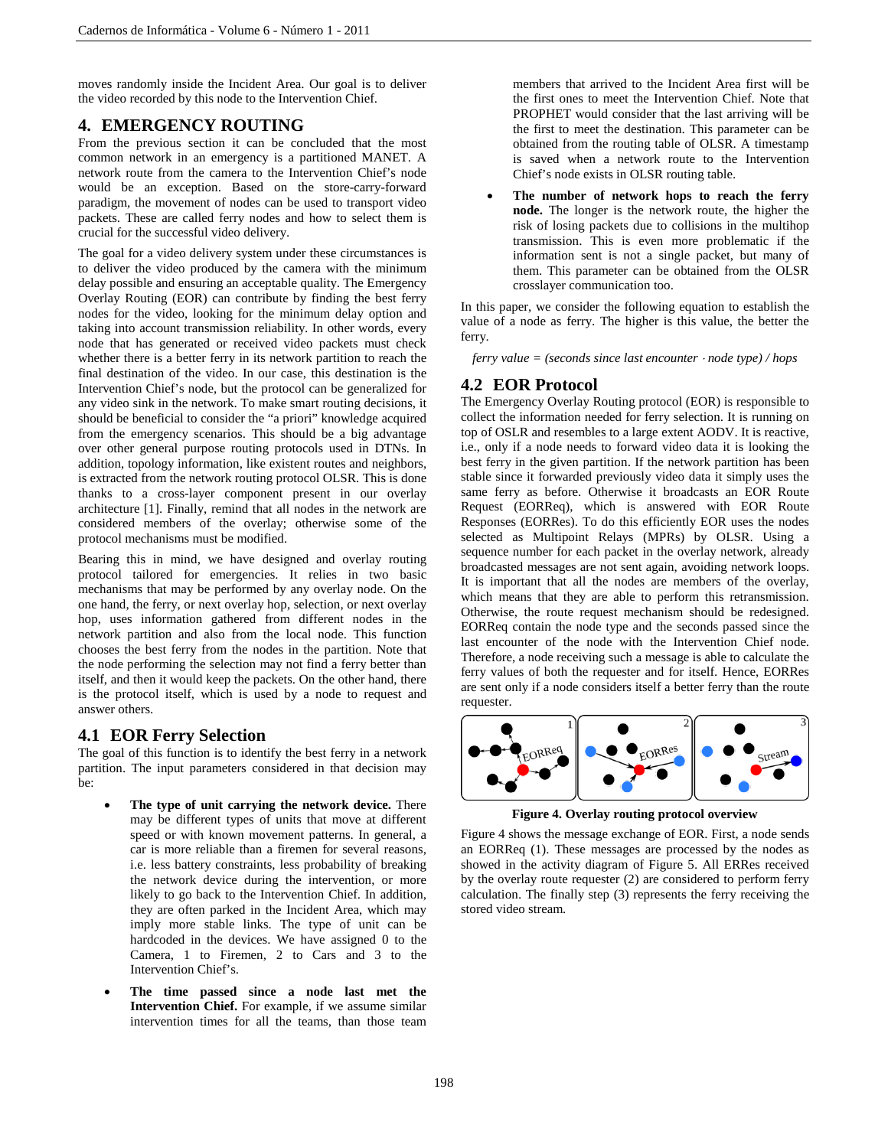moves randomly inside the Incident Area. Our goal is to deliver the video recorded by this node to the Intervention Chief.

# **4. EMERGENCY ROUTING**

From the previous section it can be concluded that the most common network in an emergency is a partitioned MANET. A network route from the camera to the Intervention Chief's node would be an exception. Based on the store-carry-forward paradigm, the movement of nodes can be used to transport video packets. These are called ferry nodes and how to select them is crucial for the successful video delivery.

The goal for a video delivery system under these circumstances is to deliver the video produced by the camera with the minimum delay possible and ensuring an acceptable quality. The Emergency Overlay Routing (EOR) can contribute by finding the best ferry nodes for the video, looking for the minimum delay option and taking into account transmission reliability. In other words, every node that has generated or received video packets must check whether there is a better ferry in its network partition to reach the final destination of the video. In our case, this destination is the Intervention Chief's node, but the protocol can be generalized for any video sink in the network. To make smart routing decisions, it should be beneficial to consider the "a priori" knowledge acquired from the emergency scenarios. This should be a big advantage over other general purpose routing protocols used in DTNs. In addition, topology information, like existent routes and neighbors, is extracted from the network routing protocol OLSR. This is done thanks to a cross-layer component present in our overlay architecture [1]. Finally, remind that all nodes in the network are considered members of the overlay; otherwise some of the protocol mechanisms must be modified.

Bearing this in mind, we have designed and overlay routing protocol tailored for emergencies. It relies in two basic mechanisms that may be performed by any overlay node. On the one hand, the ferry, or next overlay hop, selection, or next overlay hop, uses information gathered from different nodes in the network partition and also from the local node. This function chooses the best ferry from the nodes in the partition. Note that the node performing the selection may not find a ferry better than itself, and then it would keep the packets. On the other hand, there is the protocol itself, which is used by a node to request and answer others.

# **4.1 EOR Ferry Selection**

The goal of this function is to identify the best ferry in a network partition. The input parameters considered in that decision may be:

- **The type of unit carrying the network device.** There may be different types of units that move at different speed or with known movement patterns. In general, a car is more reliable than a firemen for several reasons, i.e. less battery constraints, less probability of breaking the network device during the intervention, or more likely to go back to the Intervention Chief. In addition, they are often parked in the Incident Area, which may imply more stable links. The type of unit can be hardcoded in the devices. We have assigned 0 to the Camera, 1 to Firemen, 2 to Cars and 3 to the Intervention Chief's.
- **The time passed since a node last met the Intervention Chief.** For example, if we assume similar intervention times for all the teams, than those team

members that arrived to the Incident Area first will be the first ones to meet the Intervention Chief. Note that PROPHET would consider that the last arriving will be the first to meet the destination. This parameter can be obtained from the routing table of OLSR. A timestamp is saved when a network route to the Intervention Chief's node exists in OLSR routing table.

• **The number of network hops to reach the ferry node.** The longer is the network route, the higher the risk of losing packets due to collisions in the multihop transmission. This is even more problematic if the information sent is not a single packet, but many of them. This parameter can be obtained from the OLSR crosslayer communication too.

In this paper, we consider the following equation to establish the value of a node as ferry. The higher is this value, the better the ferry.

*ferry value = (seconds since last encounter* <sup>⋅</sup> *node type) / hops*

# **4.2 EOR Protocol**

The Emergency Overlay Routing protocol (EOR) is responsible to collect the information needed for ferry selection. It is running on top of OSLR and resembles to a large extent AODV. It is reactive, i.e., only if a node needs to forward video data it is looking the best ferry in the given partition. If the network partition has been stable since it forwarded previously video data it simply uses the same ferry as before. Otherwise it broadcasts an EOR Route Request (EORReq), which is answered with EOR Route Responses (EORRes). To do this efficiently EOR uses the nodes selected as Multipoint Relays (MPRs) by OLSR. Using a sequence number for each packet in the overlay network, already broadcasted messages are not sent again, avoiding network loops. It is important that all the nodes are members of the overlay, which means that they are able to perform this retransmission. Otherwise, the route request mechanism should be redesigned. EORReq contain the node type and the seconds passed since the last encounter of the node with the Intervention Chief node. Therefore, a node receiving such a message is able to calculate the ferry values of both the requester and for itself. Hence, EORRes are sent only if a node considers itself a better ferry than the route requester.



**Figure 4. Overlay routing protocol overview**

Figure 4 shows the message exchange of EOR. First, a node sends an EORReq (1). These messages are processed by the nodes as showed in the activity diagram of Figure 5. All ERRes received by the overlay route requester (2) are considered to perform ferry calculation. The finally step (3) represents the ferry receiving the stored video stream.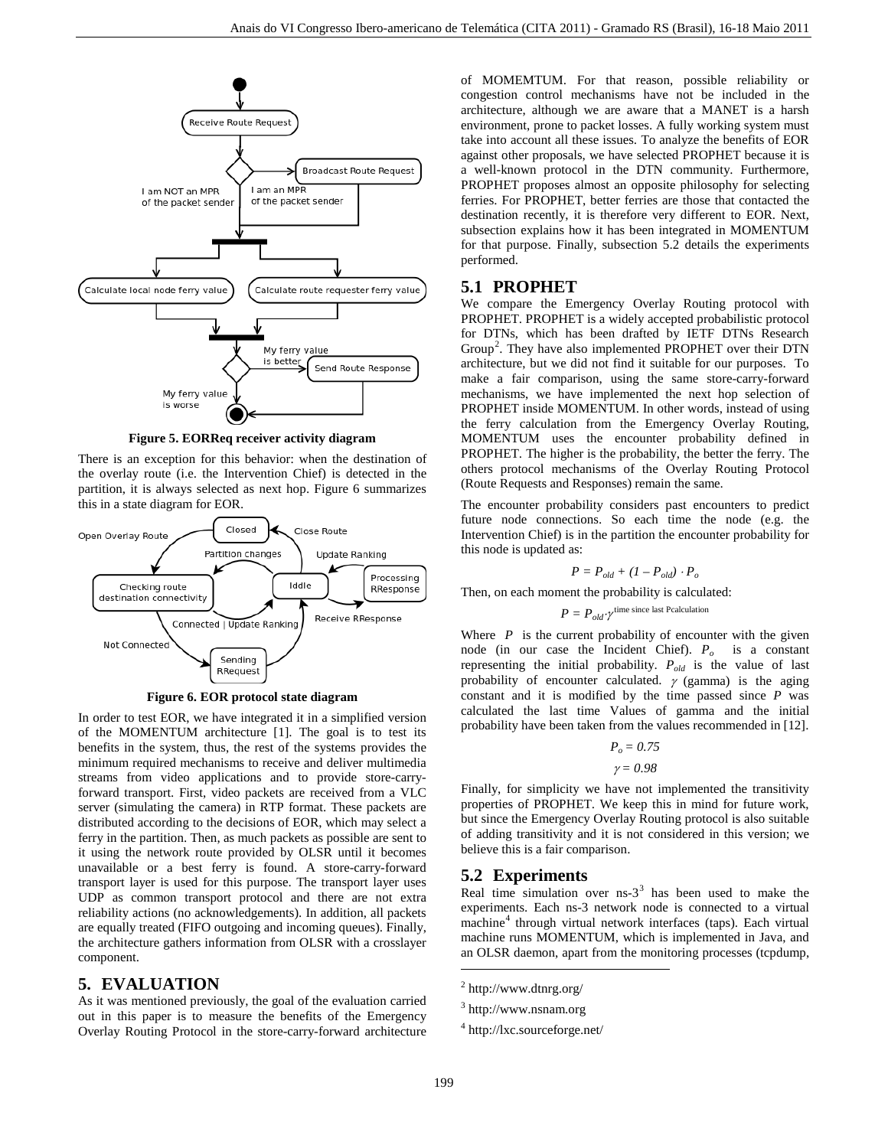

**Figure 5. EORReq receiver activity diagram**

There is an exception for this behavior: when the destination of the overlay route (i.e. the Intervention Chief) is detected in the partition, it is always selected as next hop. Figure 6 summarizes this in a state diagram for EOR.



**Figure 6. EOR protocol state diagram**

In order to test EOR, we have integrated it in a simplified version of the MOMENTUM architecture [1]. The goal is to test its benefits in the system, thus, the rest of the systems provides the minimum required mechanisms to receive and deliver multimedia streams from video applications and to provide store-carryforward transport. First, video packets are received from a VLC server (simulating the camera) in RTP format. These packets are distributed according to the decisions of EOR, which may select a ferry in the partition. Then, as much packets as possible are sent to it using the network route provided by OLSR until it becomes unavailable or a best ferry is found. A store-carry-forward transport layer is used for this purpose. The transport layer uses UDP as common transport protocol and there are not extra reliability actions (no acknowledgements). In addition, all packets are equally treated (FIFO outgoing and incoming queues). Finally, the architecture gathers information from OLSR with a crosslayer component.

## <span id="page-4-0"></span>**5. EVALUATION**

<span id="page-4-2"></span><span id="page-4-1"></span>As it was mentioned previously, the goal of the evaluation carried out in this paper is to measure the benefits of the Emergency Overlay Routing Protocol in the store-carry-forward architecture

of MOMEMTUM. For that reason, possible reliability or congestion control mechanisms have not be included in the architecture, although we are aware that a MANET is a harsh environment, prone to packet losses. A fully working system must take into account all these issues. To analyze the benefits of EOR against other proposals, we have selected PROPHET because it is a well-known protocol in the DTN community. Furthermore, PROPHET proposes almost an opposite philosophy for selecting ferries. For PROPHET, better ferries are those that contacted the destination recently, it is therefore very different to EOR. Next, subsection explains how it has been integrated in MOMENTUM for that purpose. Finally, subsection 5.2 details the experiments performed.

## **5.1 PROPHET**

We compare the Emergency Overlay Routing protocol with PROPHET. PROPHET is a widely accepted probabilistic protocol for DTNs, which has been drafted by IETF DTNs Research Group<sup>[2](#page-4-0)</sup>. They have also implemented PROPHET over their DTN architecture, but we did not find it suitable for our purposes. To make a fair comparison, using the same store-carry-forward mechanisms, we have implemented the next hop selection of PROPHET inside MOMENTUM. In other words, instead of using the ferry calculation from the Emergency Overlay Routing, MOMENTUM uses the encounter probability defined in PROPHET. The higher is the probability, the better the ferry. The others protocol mechanisms of the Overlay Routing Protocol (Route Requests and Responses) remain the same.

The encounter probability considers past encounters to predict future node connections. So each time the node (e.g. the Intervention Chief) is in the partition the encounter probability for this node is updated as:

$$
P = P_{old} + (I - P_{old}) \cdot P_o
$$

Then, on each moment the probability is calculated:

$$
P = P_{old} \gamma^{\text{time since last Pcalulation}}
$$

Where  $P$  is the current probability of encounter with the given node (in our case the Incident Chief).  $P<sub>o</sub>$  is a constant representing the initial probability. *Pold* is the value of last probability of encounter calculated.  $\gamma$  (gamma) is the aging constant and it is modified by the time passed since *P* was calculated the last time Values of gamma and the initial probability have been taken from the values recommended in [12].

$$
P_o=0.75
$$

 $\gamma = 0.98$ 

Finally, for simplicity we have not implemented the transitivity properties of PROPHET. We keep this in mind for future work, but since the Emergency Overlay Routing protocol is also suitable of adding transitivity and it is not considered in this version; we believe this is a fair comparison.

# **5.2 Experiments**

Real time simulation over  $ns-3<sup>3</sup>$  $ns-3<sup>3</sup>$  $ns-3<sup>3</sup>$  has been used to make the experiments. Each ns-3 network node is connected to a virtual machine<sup>[4](#page-4-2)</sup> through virtual network interfaces (taps). Each virtual machine runs MOMENTUM, which is implemented in Java, and an OLSR daemon, apart from the monitoring processes (tcpdump,

<sup>4</sup> http://lxc.sourceforge.net/

1

 $^{2}$  http://www.dtnrg.org/

<sup>3</sup> http://www.nsnam.org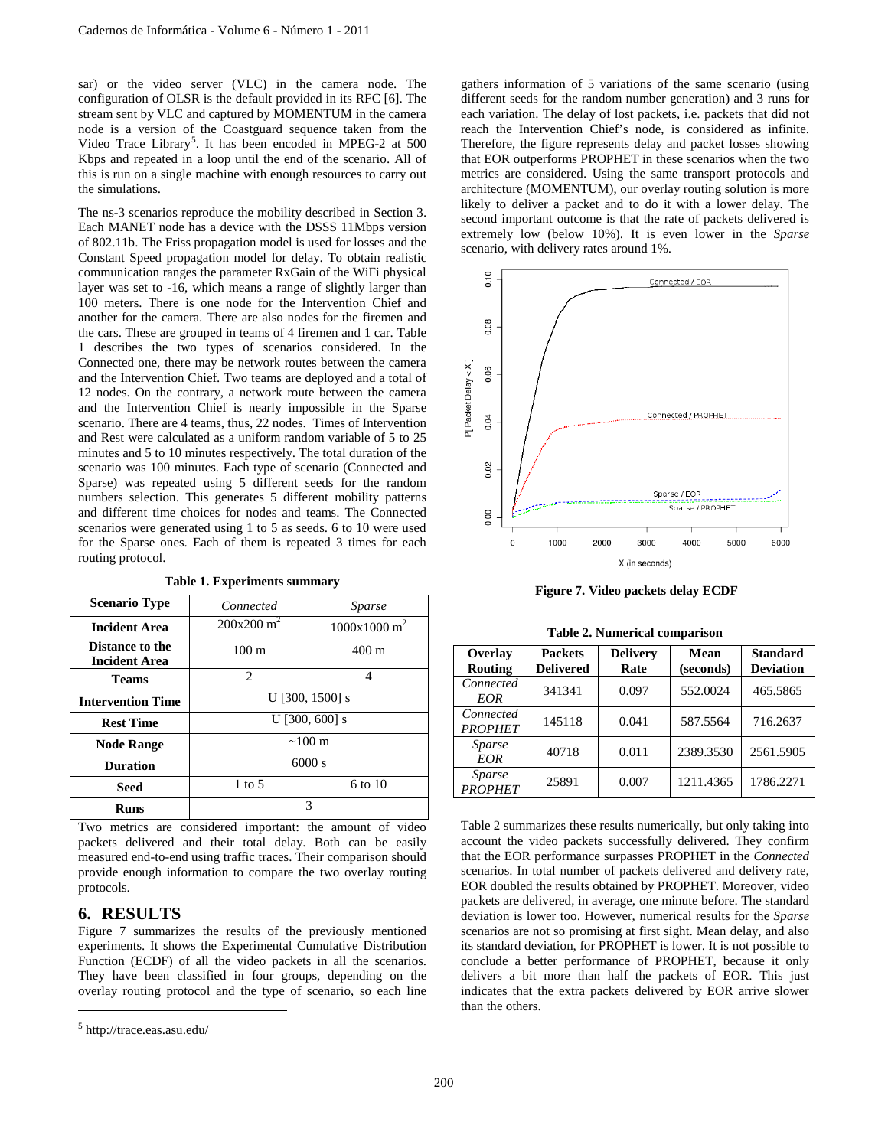sar) or the video server (VLC) in the camera node. The configuration of OLSR is the default provided in its RFC [6]. The stream sent by VLC and captured by MOMENTUM in the camera node is a version of the Coastguard sequence taken from the Video Trace Library<sup>[5](#page-5-0)</sup>. It has been encoded in MPEG-2 at 500 Kbps and repeated in a loop until the end of the scenario. All of this is run on a single machine with enough resources to carry out the simulations.

The ns-3 scenarios reproduce the mobility described in Section 3. Each MANET node has a device with the DSSS 11Mbps version of 802.11b. The Friss propagation model is used for losses and the Constant Speed propagation model for delay. To obtain realistic communication ranges the parameter RxGain of the WiFi physical layer was set to -16, which means a range of slightly larger than 100 meters. There is one node for the Intervention Chief and another for the camera. There are also nodes for the firemen and the cars. These are grouped in teams of 4 firemen and 1 car. Table 1 describes the two types of scenarios considered. In the Connected one, there may be network routes between the camera and the Intervention Chief. Two teams are deployed and a total of 12 nodes. On the contrary, a network route between the camera and the Intervention Chief is nearly impossible in the Sparse scenario. There are 4 teams, thus, 22 nodes. Times of Intervention and Rest were calculated as a uniform random variable of 5 to 25 minutes and 5 to 10 minutes respectively. The total duration of the scenario was 100 minutes. Each type of scenario (Connected and Sparse) was repeated using 5 different seeds for the random numbers selection. This generates 5 different mobility patterns and different time choices for nodes and teams. The Connected scenarios were generated using 1 to 5 as seeds. 6 to 10 were used for the Sparse ones. Each of them is repeated 3 times for each routing protocol.

| <b>Scenario Type</b>                    | Connected                                         | Sparse             |  |  |
|-----------------------------------------|---------------------------------------------------|--------------------|--|--|
| <b>Incident Area</b>                    | $200x200 \text{ m}^2$<br>1000x1000 m <sup>2</sup> |                    |  |  |
| Distance to the<br><b>Incident Area</b> | $100 \text{ m}$                                   | $400 \text{ m}$    |  |  |
| <b>Teams</b>                            | $\mathfrak{D}$                                    | 4                  |  |  |
| <b>Intervention Time</b>                | U [300, 1500] s                                   |                    |  |  |
| <b>Rest Time</b>                        | $U$ [300, 600] s                                  |                    |  |  |
| <b>Node Range</b>                       | $~100 \text{ m}$                                  |                    |  |  |
| <b>Duration</b>                         | 6000 s                                            |                    |  |  |
| <b>Seed</b>                             | $1$ to 5                                          | $6 \text{ to } 10$ |  |  |
| Runs                                    | 3                                                 |                    |  |  |

**Table 1. Experiments summary**

Two metrics are considered important: the amount of video packets delivered and their total delay. Both can be easily measured end-to-end using traffic traces. Their comparison should provide enough information to compare the two overlay routing protocols.

# **6. RESULTS**

Figure 7 summarizes the results of the previously mentioned experiments. It shows the Experimental Cumulative Distribution Function (ECDF) of all the video packets in all the scenarios. They have been classified in four groups, depending on the overlay routing protocol and the type of scenario, so each line

 $\overline{a}$ 

gathers information of 5 variations of the same scenario (using different seeds for the random number generation) and 3 runs for each variation. The delay of lost packets, i.e. packets that did not reach the Intervention Chief's node, is considered as infinite. Therefore, the figure represents delay and packet losses showing that EOR outperforms PROPHET in these scenarios when the two metrics are considered. Using the same transport protocols and architecture (MOMENTUM), our overlay routing solution is more likely to deliver a packet and to do it with a lower delay. The second important outcome is that the rate of packets delivered is extremely low (below 10%). It is even lower in the *Sparse* scenario, with delivery rates around 1%.



**Figure 7. Video packets delay ECDF**

|  |  |  | Table 2. Numerical comparison |
|--|--|--|-------------------------------|
|--|--|--|-------------------------------|

| Overlay<br>Routing              | <b>Packets</b><br><b>Delivered</b> | <b>Delivery</b><br>Rate | Mean<br>(seconds) | <b>Standard</b><br><b>Deviation</b> |
|---------------------------------|------------------------------------|-------------------------|-------------------|-------------------------------------|
| Connected<br><b>EOR</b>         | 341341                             | 0.097                   | 552.0024          | 465.5865                            |
| Connected<br><b>PROPHET</b>     | 145118                             | 0.041                   | 587.5564          | 716.2637                            |
| <i>Sparse</i><br>EOR            | 40718                              | 0.011                   | 2389.3530         | 2561.5905                           |
| <i>Sparse</i><br><b>PROPHET</b> | 25891                              | 0.007                   | 1211.4365         | 1786.2271                           |

Table 2 summarizes these results numerically, but only taking into account the video packets successfully delivered. They confirm that the EOR performance surpasses PROPHET in the *Connected* scenarios. In total number of packets delivered and delivery rate, EOR doubled the results obtained by PROPHET. Moreover, video packets are delivered, in average, one minute before. The standard deviation is lower too. However, numerical results for the *Sparse* scenarios are not so promising at first sight. Mean delay, and also its standard deviation, for PROPHET is lower. It is not possible to conclude a better performance of PROPHET, because it only delivers a bit more than half the packets of EOR. This just indicates that the extra packets delivered by EOR arrive slower than the others.

<span id="page-5-0"></span><sup>5</sup> http://trace.eas.asu.edu/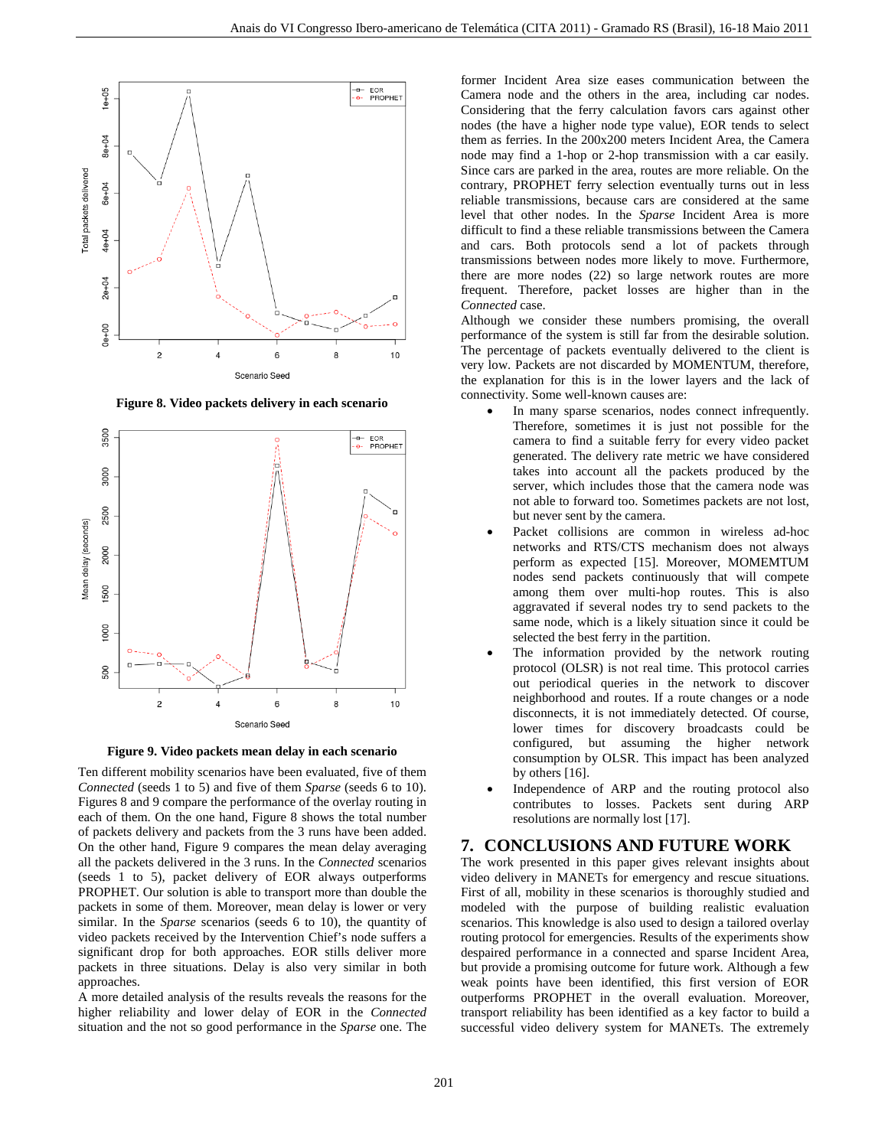

**Figure 8. Video packets delivery in each scenario**



**Figure 9. Video packets mean delay in each scenario**

Ten different mobility scenarios have been evaluated, five of them *Connected* (seeds 1 to 5) and five of them *Sparse* (seeds 6 to 10). Figures 8 and 9 compare the performance of the overlay routing in each of them. On the one hand, Figure 8 shows the total number of packets delivery and packets from the 3 runs have been added. On the other hand, Figure 9 compares the mean delay averaging all the packets delivered in the 3 runs. In the *Connected* scenarios (seeds 1 to 5), packet delivery of EOR always outperforms PROPHET. Our solution is able to transport more than double the packets in some of them. Moreover, mean delay is lower or very similar. In the *Sparse* scenarios (seeds 6 to 10), the quantity of video packets received by the Intervention Chief's node suffers a significant drop for both approaches. EOR stills deliver more packets in three situations. Delay is also very similar in both approaches.

A more detailed analysis of the results reveals the reasons for the higher reliability and lower delay of EOR in the *Connected* situation and the not so good performance in the *Sparse* one. The

former Incident Area size eases communication between the Camera node and the others in the area, including car nodes. Considering that the ferry calculation favors cars against other nodes (the have a higher node type value), EOR tends to select them as ferries. In the 200x200 meters Incident Area, the Camera node may find a 1-hop or 2-hop transmission with a car easily. Since cars are parked in the area, routes are more reliable. On the contrary, PROPHET ferry selection eventually turns out in less reliable transmissions, because cars are considered at the same level that other nodes. In the *Sparse* Incident Area is more difficult to find a these reliable transmissions between the Camera and cars. Both protocols send a lot of packets through transmissions between nodes more likely to move. Furthermore, there are more nodes (22) so large network routes are more frequent. Therefore, packet losses are higher than in the *Connected* case.

Although we consider these numbers promising, the overall performance of the system is still far from the desirable solution. The percentage of packets eventually delivered to the client is very low. Packets are not discarded by MOMENTUM, therefore, the explanation for this is in the lower layers and the lack of connectivity. Some well-known causes are:

- In many sparse scenarios, nodes connect infrequently. Therefore, sometimes it is just not possible for the camera to find a suitable ferry for every video packet generated. The delivery rate metric we have considered takes into account all the packets produced by the server, which includes those that the camera node was not able to forward too. Sometimes packets are not lost, but never sent by the camera.
- Packet collisions are common in wireless ad-hoc networks and RTS/CTS mechanism does not always perform as expected [15]. Moreover, MOMEMTUM nodes send packets continuously that will compete among them over multi-hop routes. This is also aggravated if several nodes try to send packets to the same node, which is a likely situation since it could be selected the best ferry in the partition.
- The information provided by the network routing protocol (OLSR) is not real time. This protocol carries out periodical queries in the network to discover neighborhood and routes. If a route changes or a node disconnects, it is not immediately detected. Of course, lower times for discovery broadcasts could be configured, but assuming the higher network consumption by OLSR. This impact has been analyzed by others [16].
- Independence of ARP and the routing protocol also contributes to losses. Packets sent during ARP resolutions are normally lost [17].

## **7. CONCLUSIONS AND FUTURE WORK**

The work presented in this paper gives relevant insights about video delivery in MANETs for emergency and rescue situations. First of all, mobility in these scenarios is thoroughly studied and modeled with the purpose of building realistic evaluation scenarios. This knowledge is also used to design a tailored overlay routing protocol for emergencies. Results of the experiments show despaired performance in a connected and sparse Incident Area, but provide a promising outcome for future work. Although a few weak points have been identified, this first version of EOR outperforms PROPHET in the overall evaluation. Moreover, transport reliability has been identified as a key factor to build a successful video delivery system for MANETs. The extremely